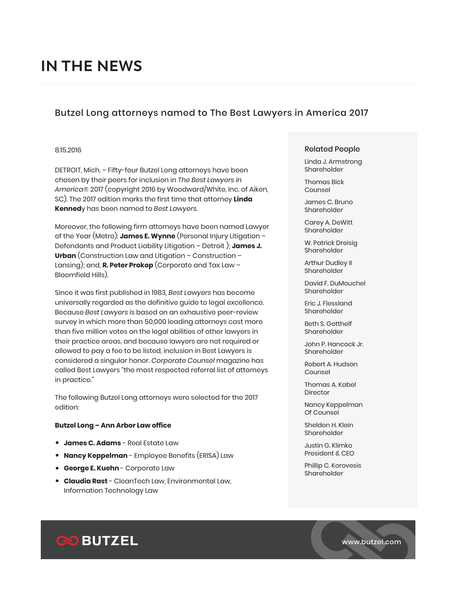## Butzel Long attorneys named to The Best Lawyers in America 2017

#### 8.15.2016

DETROIT, Mich. – Fifty-four Butzel Long attorneys have been chosen by their peers for inclusion in *The Best Lawyers in America*® 2017 (copyright 2016 by Woodward/White, Inc. of Aiken, SC). The 2017 edition marks the first time that attorney **Linda Kenned**y has been named to *Best Lawyers*.

Moreover, the following firm attorneys have been named Lawyer of the Year (Metro): **James E. Wynne** (Personal Injury Litigation – Defendants and Product Liability Litigation – Detroit ); **James J. Urban** (Construction Law and Litigation – Construction – Lansing); and, **R. Peter Prokop** (Corporate and Tax Law – Bloomfield Hills).

Since it was first published in 1983, *Best Lawyers* has become universally regarded as the definitive guide to legal excellence. Because *Best Lawyers* is based on an exhaustive peer-review survey in which more than 50,000 leading attorneys cast more than five million votes on the legal abilities of other lawyers in their practice areas, and because lawyers are not required or allowed to pay a fee to be listed, inclusion in Best Lawyers is considered a singular honor. *Corporate Counsel* magazine has called Best Lawyers "the most respected referral list of attorneys in practice."

The following Butzel Long attorneys were selected for the 2017 edition:

#### **Butzel Long – Ann Arbor Law office**

- **James C. Adams** Real Estate Law
- **Nancy Keppelman** Employee Benefits (ERISA) Law
- **George E. Kuehn**  Corporate Law
- **Claudia Rast** CleanTech Law, Environmental Law, Information Technology Law

#### Related People

Linda J. Armstrong Shareholder

Thomas Bick Counsel

James C. Bruno Shareholder

Carey A. DeWitt Shareholder

W. Patrick Dreisig Shareholder

Arthur Dudley II Shareholder

David F. DuMouchel Shareholder

Eric J. Flessland Shareholder

Beth S. Gotthelf Shareholder

John P. Hancock Jr. Shareholder

Robert A. Hudson Counsel

Thomas A. Kabel Director

Nancy Keppelman Of Counsel

Sheldon H. Klein Shareholder

Justin G. Klimko President & CEO

Phillip C. Korovesis Shareholder

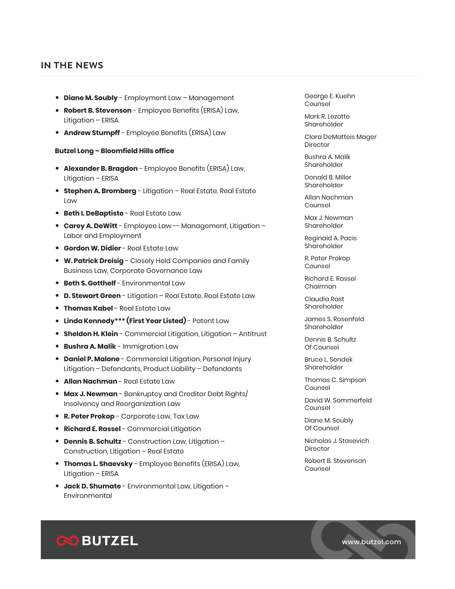- **Diane M. Soubly** Employment Law Management
- **Robert B. Stevenson** Employee Benefits (ERISA) Law, Litigation – ERISA
- **Andrew Stumpff** Employee Benefits (ERISA) Law

#### **Butzel Long – Bloomfield Hills office**

- **Alexander B. Bragdon** Employee Benefits (ERISA) Law, Litigation – ERISA
- **Stephen A. Bromberg** Litigation Real Estate, Real Estate Law
- **Beth I. DeBaptiste** Real Estate Law
- **Carey A. DeWitt** Employee Law -- Management, Litigation Labor and Employment
- **Gordon W. Didier**  Real Estate Law
- **W. Patrick Dreisig** Closely Held Companies and Family Business Law, Corporate Governance Law
- **Beth S. Gotthelf**  Environmental Law
- **D. Stewart Green** Litigation Real Estate, Real Estate Law
- **Thomas Kabel** Real Estate Law
- **Linda Kennedy\*\*\* (First Year Listed)** Patent Law
- **Sheldon H. Klein** Commercial Litigation, Litigation Antitrust
- **Bushra A. Malik** Immigration Law
- **Daniel P. Malone** Commercial Litigation, Personal Injury Litigation – Defendants, Product Liability – Defendants
- **Allan Nachman** Real Estate Law
- **Max J. Newman** Bankruptcy and Creditor Debt Rights/ Insolvency and Reorganization Law
- **R. Peter Prokop** Corporate Law, Tax Law
- **Richard E. Rassel** Commercial Litigation
- **Dennis B. Schultz** Construction Law, Litigation Construction, Litigation – Real Estate
- **Thomas L. Shaevsky** Employee Benefits (ERISA) Law, Litigation – ERISA
- **Jack D. Shumate** Environmental Law, Litigation Environmental

George E. Kuehn Counsel

Mark R. Lezotte Shareholder

Clara DeMatteis Mager Director

Bushra A. Malik Shareholder

Donald B. Miller Shareholder

Allan Nachman Counsel

Max J. Newman Shareholder

Reginald A. Pacis Shareholder

R. Peter Prokop Counsel

Richard E. Rassel Chairman

Claudia Rast Shareholder

James S. Rosenfeld Shareholder

Dennis B. Schultz Of Counsel

Bruce L. Sendek Shareholder

Thomas C. Simpson Counsel

David W. Sommerfeld Counsel

Diane M. Soubly Of Counsel

Nicholas J. Stasevich **Director** 

Robert B. Stevenson Counsel

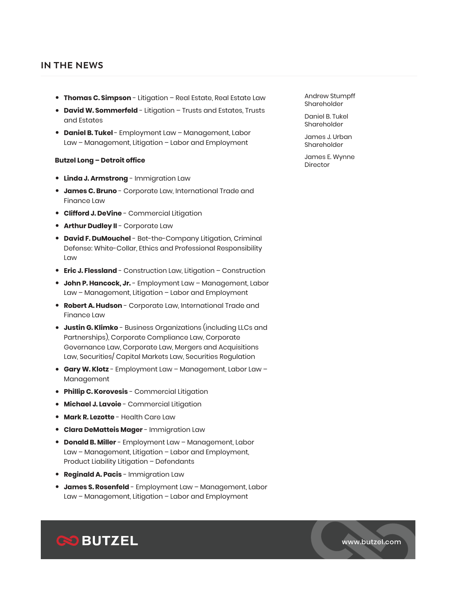- **Thomas C. Simpson** Litigation Real Estate, Real Estate Law
- **David W. Sommerfeld** Litigation Trusts and Estates, Trusts and Estates
- **Daniel B. Tukel**  Employment Law Management, Labor Law – Management, Litigation – Labor and Employment

#### **Butzel Long – Detroit office**

- **Linda J. Armstrong** Immigration Law
- **James C. Bruno** Corporate Law, International Trade and Finance Law
- **Clifford J. DeVine** Commercial Litigation
- **Arthur Dudley II** Corporate Law
- **David F. DuMouchel** Bet-the-Company Litigation, Criminal Defense: White-Collar, Ethics and Professional Responsibility Law
- **Eric J. Flessland** Construction Law, Litigation Construction
- **John P. Hancock, Jr.** Employment Law Management, Labor Law – Management, Litigation – Labor and Employment
- **Robert A. Hudson** Corporate Law, International Trade and Finance Law
- **Justin G. Klimko** Business Organizations (including LLCs and Partnerships), Corporate Compliance Law, Corporate Governance Law, Corporate Law, Mergers and Acquisitions Law, Securities/ Capital Markets Law, Securities Regulation
- **Gary W. Klotz** Employment Law Management, Labor Law Management
- **Phillip C. Korovesis** Commercial Litigation
- **Michael J. Lavoie** Commercial Litigation
- **Mark R. Lezotte** Health Care Law
- **Clara DeMatteis Mager** Immigration Law
- **Donald B. Miller** Employment Law Management, Labor Law – Management, Litigation – Labor and Employment, Product Liability Litigation – Defendants
- **Reginald A. Pacis** Immigration Law
- **James S. Rosenfeld** Employment Law Management, Labor Law – Management, Litigation – Labor and Employment

Andrew Stumpff Shareholder

Daniel B. Tukel Shareholder

James J. Urban Shareholder

James E. Wynne Director



www.butzel.com